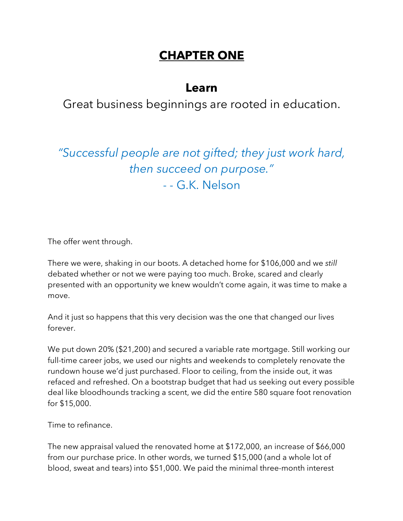## **CHAPTER ONE**

## **Learn**

Great business beginnings are rooted in education.

*"Successful people are not gifted; they just work hard, then succeed on purpose."* - - G.K. Nelson

The offer went through.

There we were, shaking in our boots. A detached home for \$106,000 and we *still*  debated whether or not we were paying too much. Broke, scared and clearly presented with an opportunity we knew wouldn't come again, it was time to make a move.

And it just so happens that this very decision was the one that changed our lives forever.

We put down 20% (\$21,200) and secured a variable rate mortgage. Still working our full-time career jobs, we used our nights and weekends to completely renovate the rundown house we'd just purchased. Floor to ceiling, from the inside out, it was refaced and refreshed. On a bootstrap budget that had us seeking out every possible deal like bloodhounds tracking a scent, we did the entire 580 square foot renovation for \$15,000.

Time to refinance.

The new appraisal valued the renovated home at \$172,000, an increase of \$66,000 from our purchase price. In other words, we turned \$15,000 (and a whole lot of blood, sweat and tears) into \$51,000. We paid the minimal three-month interest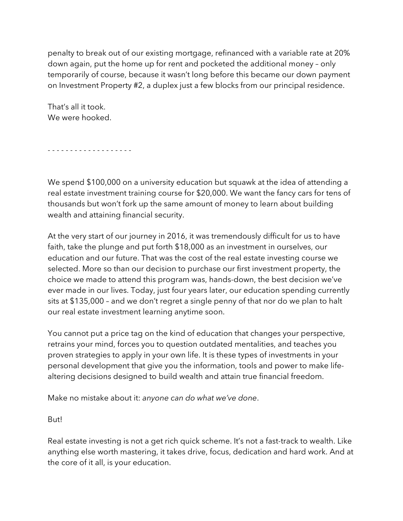penalty to break out of our existing mortgage, refinanced with a variable rate at 20% down again, put the home up for rent and pocketed the additional money – only temporarily of course, because it wasn't long before this became our down payment on Investment Property #2, a duplex just a few blocks from our principal residence.

That's all it took. We were hooked.

- - - - - - - - - - - - - - - - - - -

We spend \$100,000 on a university education but squawk at the idea of attending a real estate investment training course for \$20,000. We want the fancy cars for tens of thousands but won't fork up the same amount of money to learn about building wealth and attaining financial security.

At the very start of our journey in 2016, it was tremendously difficult for us to have faith, take the plunge and put forth \$18,000 as an investment in ourselves, our education and our future. That was the cost of the real estate investing course we selected. More so than our decision to purchase our first investment property, the choice we made to attend this program was, hands-down, the best decision we've ever made in our lives. Today, just four years later, our education spending currently sits at \$135,000 – and we don't regret a single penny of that nor do we plan to halt our real estate investment learning anytime soon.

You cannot put a price tag on the kind of education that changes your perspective, retrains your mind, forces you to question outdated mentalities, and teaches you proven strategies to apply in your own life. It is these types of investments in your personal development that give you the information, tools and power to make lifealtering decisions designed to build wealth and attain true financial freedom.

Make no mistake about it: *anyone can do what we've done*.

But!

Real estate investing is not a get rich quick scheme. It's not a fast-track to wealth. Like anything else worth mastering, it takes drive, focus, dedication and hard work. And at the core of it all, is your education.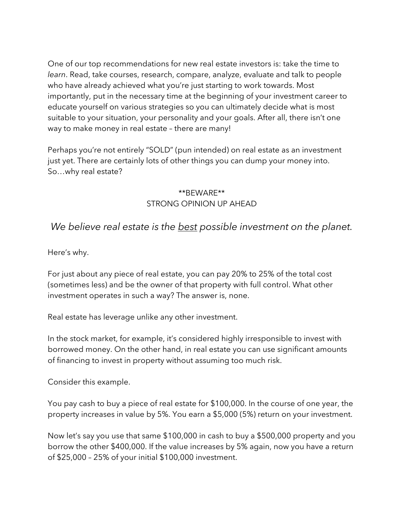One of our top recommendations for new real estate investors is: take the time to *learn*. Read, take courses, research, compare, analyze, evaluate and talk to people who have already achieved what you're just starting to work towards. Most importantly, put in the necessary time at the beginning of your investment career to educate yourself on various strategies so you can ultimately decide what is most suitable to your situation, your personality and your goals. After all, there isn't one way to make money in real estate – there are many!

Perhaps you're not entirely "SOLD" (pun intended) on real estate as an investment just yet. There are certainly lots of other things you can dump your money into. So…why real estate?

#### \*\*BEWARE\*\* STRONG OPINION UP AHEAD

### *We believe real estate is the best possible investment on the planet.*

Here's why.

For just about any piece of real estate, you can pay 20% to 25% of the total cost (sometimes less) and be the owner of that property with full control. What other investment operates in such a way? The answer is, none.

Real estate has leverage unlike any other investment.

In the stock market, for example, it's considered highly irresponsible to invest with borrowed money. On the other hand, in real estate you can use significant amounts of financing to invest in property without assuming too much risk.

Consider this example.

You pay cash to buy a piece of real estate for \$100,000. In the course of one year, the property increases in value by 5%. You earn a \$5,000 (5%) return on your investment.

Now let's say you use that same \$100,000 in cash to buy a \$500,000 property and you borrow the other \$400,000. If the value increases by 5% again, now you have a return of \$25,000 – 25% of your initial \$100,000 investment.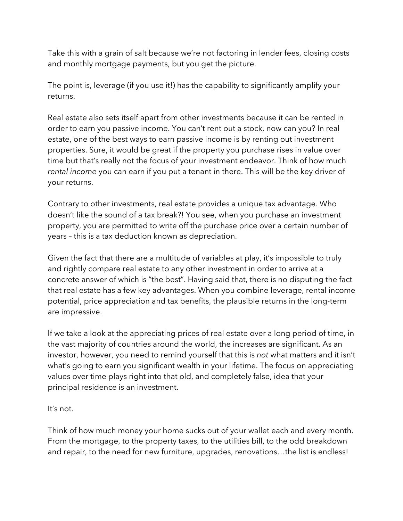Take this with a grain of salt because we're not factoring in lender fees, closing costs and monthly mortgage payments, but you get the picture.

The point is, leverage (if you use it!) has the capability to significantly amplify your returns.

Real estate also sets itself apart from other investments because it can be rented in order to earn you passive income. You can't rent out a stock, now can you? In real estate, one of the best ways to earn passive income is by renting out investment properties. Sure, it would be great if the property you purchase rises in value over time but that's really not the focus of your investment endeavor. Think of how much *rental income* you can earn if you put a tenant in there. This will be the key driver of your returns.

Contrary to other investments, real estate provides a unique tax advantage. Who doesn't like the sound of a tax break?! You see, when you purchase an investment property, you are permitted to write off the purchase price over a certain number of years – this is a tax deduction known as depreciation.

Given the fact that there are a multitude of variables at play, it's impossible to truly and rightly compare real estate to any other investment in order to arrive at a concrete answer of which is "the best". Having said that, there is no disputing the fact that real estate has a few key advantages. When you combine leverage, rental income potential, price appreciation and tax benefits, the plausible returns in the long-term are impressive.

If we take a look at the appreciating prices of real estate over a long period of time, in the vast majority of countries around the world, the increases are significant. As an investor, however, you need to remind yourself that this is *not* what matters and it isn't what's going to earn you significant wealth in your lifetime. The focus on appreciating values over time plays right into that old, and completely false, idea that your principal residence is an investment.

#### It's not.

Think of how much money your home sucks out of your wallet each and every month. From the mortgage, to the property taxes, to the utilities bill, to the odd breakdown and repair, to the need for new furniture, upgrades, renovations…the list is endless!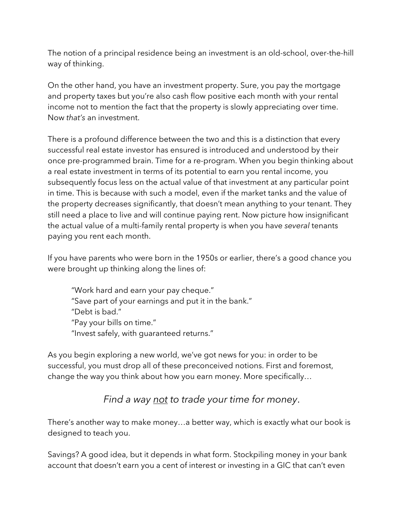The notion of a principal residence being an investment is an old-school, over-the-hill way of thinking.

On the other hand, you have an investment property. Sure, you pay the mortgage and property taxes but you're also cash flow positive each month with your rental income not to mention the fact that the property is slowly appreciating over time. Now *that's* an investment.

There is a profound difference between the two and this is a distinction that every successful real estate investor has ensured is introduced and understood by their once pre-programmed brain. Time for a re-program. When you begin thinking about a real estate investment in terms of its potential to earn you rental income, you subsequently focus less on the actual value of that investment at any particular point in time. This is because with such a model, even if the market tanks and the value of the property decreases significantly, that doesn't mean anything to your tenant. They still need a place to live and will continue paying rent. Now picture how insignificant the actual value of a multi-family rental property is when you have *several* tenants paying you rent each month.

If you have parents who were born in the 1950s or earlier, there's a good chance you were brought up thinking along the lines of:

"Work hard and earn your pay cheque." "Save part of your earnings and put it in the bank." "Debt is bad." "Pay your bills on time." "Invest safely, with guaranteed returns."

As you begin exploring a new world, we've got news for you: in order to be successful, you must drop all of these preconceived notions. First and foremost, change the way you think about how you earn money. More specifically…

## *Find a way not to trade your time for money*.

There's another way to make money…a better way, which is exactly what our book is designed to teach you.

Savings? A good idea, but it depends in what form. Stockpiling money in your bank account that doesn't earn you a cent of interest or investing in a GIC that can't even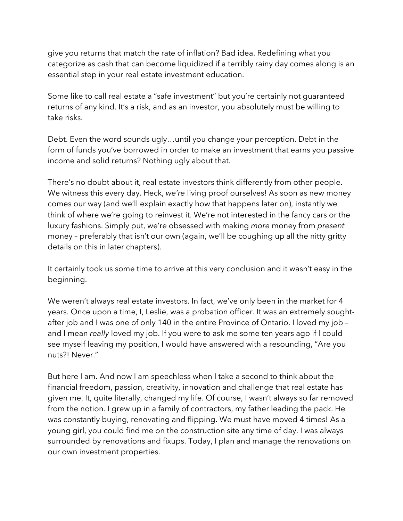give you returns that match the rate of inflation? Bad idea. Redefining what you categorize as cash that can become liquidized if a terribly rainy day comes along is an essential step in your real estate investment education.

Some like to call real estate a "safe investment" but you're certainly not guaranteed returns of any kind. It's a risk, and as an investor, you absolutely must be willing to take risks.

Debt. Even the word sounds ugly…until you change your perception. Debt in the form of funds you've borrowed in order to make an investment that earns you passive income and solid returns? Nothing ugly about that.

There's no doubt about it, real estate investors think differently from other people. We witness this every day. Heck, *we're* living proof ourselves! As soon as new money comes our way (and we'll explain exactly how that happens later on), instantly we think of where we're going to reinvest it. We're not interested in the fancy cars or the luxury fashions. Simply put, we're obsessed with making *more* money from *present* money – preferably that isn't our own (again, we'll be coughing up all the nitty gritty details on this in later chapters).

It certainly took us some time to arrive at this very conclusion and it wasn't easy in the beginning.

We weren't always real estate investors. In fact, we've only been in the market for 4 years. Once upon a time, I, Leslie, was a probation officer. It was an extremely soughtafter job and I was one of only 140 in the entire Province of Ontario. I loved my job – and I mean *really* loved my job. If you were to ask me some ten years ago if I could see myself leaving my position, I would have answered with a resounding, "Are you nuts?! Never."

But here I am. And now I am speechless when I take a second to think about the financial freedom, passion, creativity, innovation and challenge that real estate has given me. It, quite literally, changed my life. Of course, I wasn't always so far removed from the notion. I grew up in a family of contractors, my father leading the pack. He was constantly buying, renovating and flipping. We must have moved 4 times! As a young girl, you could find me on the construction site any time of day. I was always surrounded by renovations and fixups. Today, I plan and manage the renovations on our own investment properties.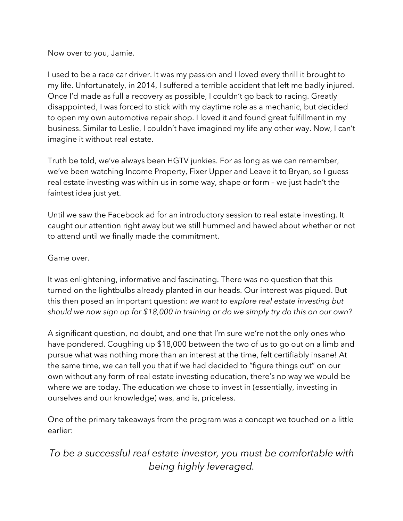Now over to you, Jamie.

I used to be a race car driver. It was my passion and I loved every thrill it brought to my life. Unfortunately, in 2014, I suffered a terrible accident that left me badly injured. Once I'd made as full a recovery as possible, I couldn't go back to racing. Greatly disappointed, I was forced to stick with my daytime role as a mechanic, but decided to open my own automotive repair shop. I loved it and found great fulfillment in my business. Similar to Leslie, I couldn't have imagined my life any other way. Now, I can't imagine it without real estate.

Truth be told, we've always been HGTV junkies. For as long as we can remember, we've been watching Income Property, Fixer Upper and Leave it to Bryan, so I guess real estate investing was within us in some way, shape or form – we just hadn't the faintest idea just yet.

Until we saw the Facebook ad for an introductory session to real estate investing. It caught our attention right away but we still hummed and hawed about whether or not to attend until we finally made the commitment.

Game over.

It was enlightening, informative and fascinating. There was no question that this turned on the lightbulbs already planted in our heads. Our interest was piqued. But this then posed an important question: *we want to explore real estate investing but should we now sign up for \$18,000 in training or do we simply try do this on our own?*

A significant question, no doubt, and one that I'm sure we're not the only ones who have pondered. Coughing up \$18,000 between the two of us to go out on a limb and pursue what was nothing more than an interest at the time, felt certifiably insane! At the same time, we can tell you that if we had decided to "figure things out" on our own without any form of real estate investing education, there's no way we would be where we are today. The education we chose to invest in (essentially, investing in ourselves and our knowledge) was, and is, priceless.

One of the primary takeaways from the program was a concept we touched on a little earlier:

## *To be a successful real estate investor, you must be comfortable with being highly leveraged.*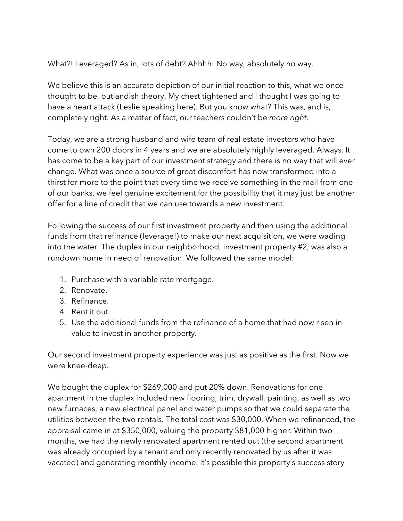What?! Leveraged? As in, lots of debt? Ahhhh! No way, absolutely no way.

We believe this is an accurate depiction of our initial reaction to this, what we once thought to be, outlandish theory. My chest tightened and I thought I was going to have a heart attack (Leslie speaking here). But you know what? This was, and is, completely right. As a matter of fact, our teachers couldn't be *more right*.

Today, we are a strong husband and wife team of real estate investors who have come to own 200 doors in 4 years and we are absolutely highly leveraged. Always. It has come to be a key part of our investment strategy and there is no way that will ever change. What was once a source of great discomfort has now transformed into a thirst for more to the point that every time we receive something in the mail from one of our banks, we feel genuine excitement for the possibility that it may just be another offer for a line of credit that we can use towards a new investment.

Following the success of our first investment property and then using the additional funds from that refinance (leverage!) to make our next acquisition, we were wading into the water. The duplex in our neighborhood, investment property #2, was also a rundown home in need of renovation. We followed the same model:

- 1. Purchase with a variable rate mortgage.
- 2. Renovate.
- 3. Refinance.
- 4. Rent it out.
- 5. Use the additional funds from the refinance of a home that had now risen in value to invest in another property.

Our second investment property experience was just as positive as the first. Now we were knee-deep.

We bought the duplex for \$269,000 and put 20% down. Renovations for one apartment in the duplex included new flooring, trim, drywall, painting, as well as two new furnaces, a new electrical panel and water pumps so that we could separate the utilities between the two rentals. The total cost was \$30,000. When we refinanced, the appraisal came in at \$350,000, valuing the property \$81,000 higher. Within two months, we had the newly renovated apartment rented out (the second apartment was already occupied by a tenant and only recently renovated by us after it was vacated) and generating monthly income. It's possible this property's success story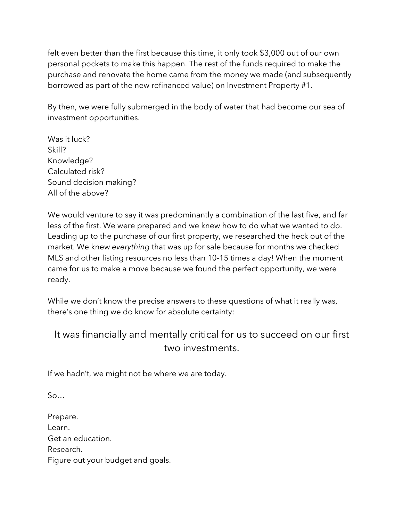felt even better than the first because this time, it only took \$3,000 out of our own personal pockets to make this happen. The rest of the funds required to make the purchase and renovate the home came from the money we made (and subsequently borrowed as part of the new refinanced value) on Investment Property #1.

By then, we were fully submerged in the body of water that had become our sea of investment opportunities.

Was it luck? Skill? Knowledge? Calculated risk? Sound decision making? All of the above?

We would venture to say it was predominantly a combination of the last five, and far less of the first. We were prepared and we knew how to do what we wanted to do. Leading up to the purchase of our first property, we researched the heck out of the market. We knew *everything* that was up for sale because for months we checked MLS and other listing resources no less than 10-15 times a day! When the moment came for us to make a move because we found the perfect opportunity, we were ready.

While we don't know the precise answers to these questions of what it really was, there's one thing we do know for absolute certainty:

## It was financially and mentally critical for us to succeed on our first two investments.

If we hadn't, we might not be where we are today.

 $S_0$ …

Prepare. Learn. Get an education. Research. Figure out your budget and goals.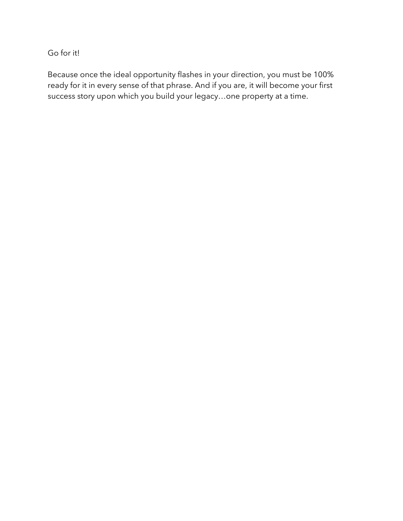Go for it!

Because once the ideal opportunity flashes in your direction, you must be 100% ready for it in every sense of that phrase. And if you are, it will become your first success story upon which you build your legacy…one property at a time.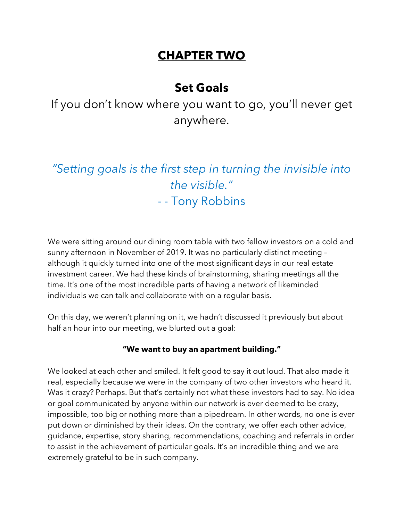## **CHAPTER TWO**

## **Set Goals**

If you don't know where you want to go, you'll never get anywhere.

# *"Setting goals is the first step in turning the invisible into the visible."*  - - Tony Robbins

We were sitting around our dining room table with two fellow investors on a cold and sunny afternoon in November of 2019. It was no particularly distinct meeting – although it quickly turned into one of the most significant days in our real estate investment career. We had these kinds of brainstorming, sharing meetings all the time. It's one of the most incredible parts of having a network of likeminded individuals we can talk and collaborate with on a regular basis.

On this day, we weren't planning on it, we hadn't discussed it previously but about half an hour into our meeting, we blurted out a goal:

#### **"We want to buy an apartment building."**

We looked at each other and smiled. It felt good to say it out loud. That also made it real, especially because we were in the company of two other investors who heard it. Was it crazy? Perhaps. But that's certainly not what these investors had to say. No idea or goal communicated by anyone within our network is ever deemed to be crazy, impossible, too big or nothing more than a pipedream. In other words, no one is ever put down or diminished by their ideas. On the contrary, we offer each other advice, guidance, expertise, story sharing, recommendations, coaching and referrals in order to assist in the achievement of particular goals. It's an incredible thing and we are extremely grateful to be in such company.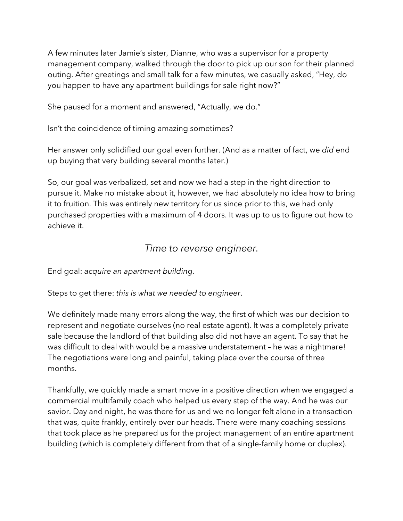A few minutes later Jamie's sister, Dianne, who was a supervisor for a property management company, walked through the door to pick up our son for their planned outing. After greetings and small talk for a few minutes, we casually asked, "Hey, do you happen to have any apartment buildings for sale right now?"

She paused for a moment and answered, "Actually, we do."

Isn't the coincidence of timing amazing sometimes?

Her answer only solidified our goal even further. (And as a matter of fact, we *did* end up buying that very building several months later.)

So, our goal was verbalized, set and now we had a step in the right direction to pursue it. Make no mistake about it, however, we had absolutely no idea how to bring it to fruition. This was entirely new territory for us since prior to this, we had only purchased properties with a maximum of 4 doors. It was up to us to figure out how to achieve it.

#### *Time to reverse engineer.*

End goal: *acquire an apartment building*.

Steps to get there: *this is what we needed to engineer*.

We definitely made many errors along the way, the first of which was our decision to represent and negotiate ourselves (no real estate agent). It was a completely private sale because the landlord of that building also did not have an agent. To say that he was difficult to deal with would be a massive understatement – he was a nightmare! The negotiations were long and painful, taking place over the course of three months.

Thankfully, we quickly made a smart move in a positive direction when we engaged a commercial multifamily coach who helped us every step of the way. And he was our savior. Day and night, he was there for us and we no longer felt alone in a transaction that was, quite frankly, entirely over our heads. There were many coaching sessions that took place as he prepared us for the project management of an entire apartment building (which is completely different from that of a single-family home or duplex).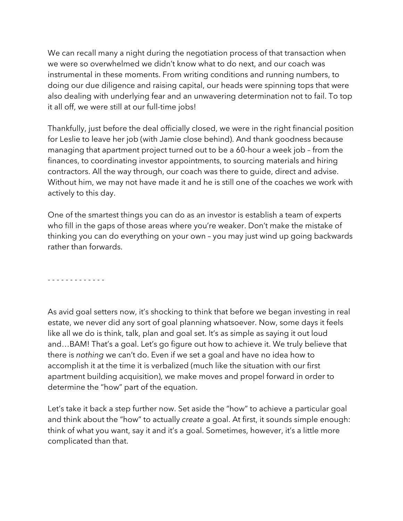We can recall many a night during the negotiation process of that transaction when we were so overwhelmed we didn't know what to do next, and our coach was instrumental in these moments. From writing conditions and running numbers, to doing our due diligence and raising capital, our heads were spinning tops that were also dealing with underlying fear and an unwavering determination not to fail. To top it all off, we were still at our full-time jobs!

Thankfully, just before the deal officially closed, we were in the right financial position for Leslie to leave her job (with Jamie close behind). And thank goodness because managing that apartment project turned out to be a 60-hour a week job – from the finances, to coordinating investor appointments, to sourcing materials and hiring contractors. All the way through, our coach was there to guide, direct and advise. Without him, we may not have made it and he is still one of the coaches we work with actively to this day.

One of the smartest things you can do as an investor is establish a team of experts who fill in the gaps of those areas where you're weaker. Don't make the mistake of thinking you can do everything on your own – you may just wind up going backwards rather than forwards.

- - - - - - - - - - - - -

As avid goal setters now, it's shocking to think that before we began investing in real estate, we never did any sort of goal planning whatsoever. Now, some days it feels like all we do is think, talk, plan and goal set. It's as simple as saying it out loud and…BAM! That's a goal. Let's go figure out how to achieve it. We truly believe that there is *nothing* we can't do. Even if we set a goal and have no idea how to accomplish it at the time it is verbalized (much like the situation with our first apartment building acquisition), we make moves and propel forward in order to determine the "how" part of the equation.

Let's take it back a step further now. Set aside the "how" to achieve a particular goal and think about the "how" to actually *create* a goal. At first, it sounds simple enough: think of what you want, say it and it's a goal. Sometimes, however, it's a little more complicated than that.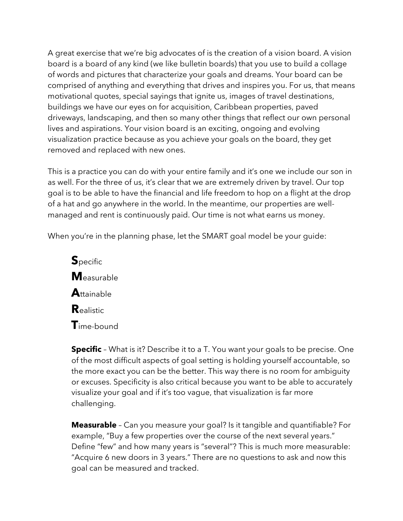A great exercise that we're big advocates of is the creation of a vision board. A vision board is a board of any kind (we like bulletin boards) that you use to build a collage of words and pictures that characterize your goals and dreams. Your board can be comprised of anything and everything that drives and inspires you. For us, that means motivational quotes, special sayings that ignite us, images of travel destinations, buildings we have our eyes on for acquisition, Caribbean properties, paved driveways, landscaping, and then so many other things that reflect our own personal lives and aspirations. Your vision board is an exciting, ongoing and evolving visualization practice because as you achieve your goals on the board, they get removed and replaced with new ones.

This is a practice you can do with your entire family and it's one we include our son in as well. For the three of us, it's clear that we are extremely driven by travel. Our top goal is to be able to have the financial and life freedom to hop on a flight at the drop of a hat and go anywhere in the world. In the meantime, our properties are wellmanaged and rent is continuously paid. Our time is not what earns us money.

When you're in the planning phase, let the SMART goal model be your quide:

**S**pecific **M**easurable **A**ttainable **R**ealistic **T**ime-bound

**Specific** – What is it? Describe it to a T. You want your goals to be precise. One of the most difficult aspects of goal setting is holding yourself accountable, so the more exact you can be the better. This way there is no room for ambiguity or excuses. Specificity is also critical because you want to be able to accurately visualize your goal and if it's too vague, that visualization is far more challenging.

**Measurable** – Can you measure your goal? Is it tangible and quantifiable? For example, "Buy a few properties over the course of the next several years." Define "few" and how many years is "several"? This is much more measurable: "Acquire 6 new doors in 3 years." There are no questions to ask and now this goal can be measured and tracked.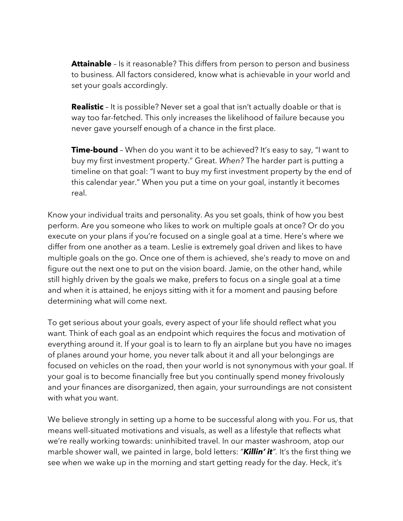**Attainable** - Is it reasonable? This differs from person to person and business to business. All factors considered, know what is achievable in your world and set your goals accordingly.

**Realistic** – It is possible? Never set a goal that isn't actually doable or that is way too far-fetched. This only increases the likelihood of failure because you never gave yourself enough of a chance in the first place.

**Time-bound** - When do you want it to be achieved? It's easy to say, "I want to buy my first investment property." Great. *When?* The harder part is putting a timeline on that goal: "I want to buy my first investment property by the end of this calendar year." When you put a time on your goal, instantly it becomes real.

Know your individual traits and personality. As you set goals, think of how you best perform. Are you someone who likes to work on multiple goals at once? Or do you execute on your plans if you're focused on a single goal at a time. Here's where we differ from one another as a team. Leslie is extremely goal driven and likes to have multiple goals on the go. Once one of them is achieved, she's ready to move on and figure out the next one to put on the vision board. Jamie, on the other hand, while still highly driven by the goals we make, prefers to focus on a single goal at a time and when it is attained, he enjoys sitting with it for a moment and pausing before determining what will come next.

To get serious about your goals, every aspect of your life should reflect what you want. Think of each goal as an endpoint which requires the focus and motivation of everything around it. If your goal is to learn to fly an airplane but you have no images of planes around your home, you never talk about it and all your belongings are focused on vehicles on the road, then your world is not synonymous with your goal. If your goal is to become financially free but you continually spend money frivolously and your finances are disorganized, then again, your surroundings are not consistent with what you want.

We believe strongly in setting up a home to be successful along with you. For us, that means well-situated motivations and visuals, as well as a lifestyle that reflects what we're really working towards: uninhibited travel. In our master washroom, atop our marble shower wall, we painted in large, bold letters: "*Killin' it".* It's the first thing we see when we wake up in the morning and start getting ready for the day. Heck, it's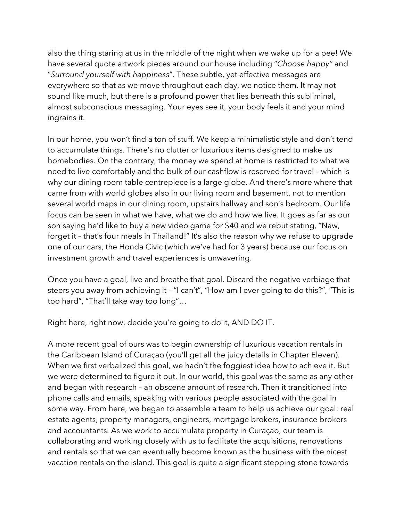also the thing staring at us in the middle of the night when we wake up for a pee! We have several quote artwork pieces around our house including "*Choose happy"* and "*Surround yourself with happiness*". These subtle, yet effective messages are everywhere so that as we move throughout each day, we notice them. It may not sound like much, but there is a profound power that lies beneath this subliminal, almost subconscious messaging. Your eyes see it, your body feels it and your mind ingrains it.

In our home, you won't find a ton of stuff. We keep a minimalistic style and don't tend to accumulate things. There's no clutter or luxurious items designed to make us homebodies. On the contrary, the money we spend at home is restricted to what we need to live comfortably and the bulk of our cashflow is reserved for travel – which is why our dining room table centrepiece is a large globe. And there's more where that came from with world globes also in our living room and basement, not to mention several world maps in our dining room, upstairs hallway and son's bedroom. Our life focus can be seen in what we have, what we do and how we live. It goes as far as our son saying he'd like to buy a new video game for \$40 and we rebut stating, "Naw, forget it – that's four meals in Thailand!" It's also the reason why we refuse to upgrade one of our cars, the Honda Civic (which we've had for 3 years) because our focus on investment growth and travel experiences is unwavering.

Once you have a goal, live and breathe that goal. Discard the negative verbiage that steers you away from achieving it – "I can't", "How am I ever going to do this?", "This is too hard", "That'll take way too long"…

Right here, right now, decide you're going to do it, AND DO IT.

A more recent goal of ours was to begin ownership of luxurious vacation rentals in the Caribbean Island of Curaçao (you'll get all the juicy details in Chapter Eleven). When we first verbalized this goal, we hadn't the foggiest idea how to achieve it. But we were determined to figure it out. In our world, this goal was the same as any other and began with research – an obscene amount of research. Then it transitioned into phone calls and emails, speaking with various people associated with the goal in some way. From here, we began to assemble a team to help us achieve our goal: real estate agents, property managers, engineers, mortgage brokers, insurance brokers and accountants. As we work to accumulate property in Curaçao, our team is collaborating and working closely with us to facilitate the acquisitions, renovations and rentals so that we can eventually become known as the business with the nicest vacation rentals on the island. This goal is quite a significant stepping stone towards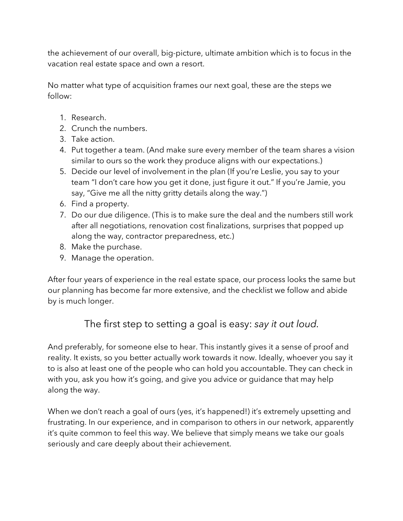the achievement of our overall, big-picture, ultimate ambition which is to focus in the vacation real estate space and own a resort.

No matter what type of acquisition frames our next goal, these are the steps we follow:

- 1. Research.
- 2. Crunch the numbers.
- 3. Take action.
- 4. Put together a team. (And make sure every member of the team shares a vision similar to ours so the work they produce aligns with our expectations.)
- 5. Decide our level of involvement in the plan (If you're Leslie, you say to your team "I don't care how you get it done, just figure it out." If you're Jamie, you say, "Give me all the nitty gritty details along the way.")
- 6. Find a property.
- 7. Do our due diligence. (This is to make sure the deal and the numbers still work after all negotiations, renovation cost finalizations, surprises that popped up along the way, contractor preparedness, etc.)
- 8. Make the purchase.
- 9. Manage the operation.

After four years of experience in the real estate space, our process looks the same but our planning has become far more extensive, and the checklist we follow and abide by is much longer.

## The first step to setting a goal is easy: *say it out loud.*

And preferably, for someone else to hear. This instantly gives it a sense of proof and reality. It exists, so you better actually work towards it now. Ideally, whoever you say it to is also at least one of the people who can hold you accountable. They can check in with you, ask you how it's going, and give you advice or guidance that may help along the way.

When we don't reach a goal of ours (yes, it's happened!) it's extremely upsetting and frustrating. In our experience, and in comparison to others in our network, apparently it's quite common to feel this way. We believe that simply means we take our goals seriously and care deeply about their achievement.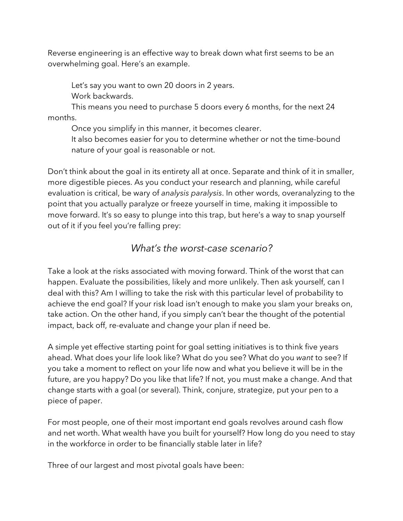Reverse engineering is an effective way to break down what first seems to be an overwhelming goal. Here's an example.

Let's say you want to own 20 doors in 2 years. Work backwards.

This means you need to purchase 5 doors every 6 months, for the next 24 months.

Once you simplify in this manner, it becomes clearer.

It also becomes easier for you to determine whether or not the time-bound nature of your goal is reasonable or not.

Don't think about the goal in its entirety all at once. Separate and think of it in smaller, more digestible pieces. As you conduct your research and planning, while careful evaluation is critical, be wary of *analysis paralysis*. In other words, overanalyzing to the point that you actually paralyze or freeze yourself in time, making it impossible to move forward. It's so easy to plunge into this trap, but here's a way to snap yourself out of it if you feel you're falling prey:

#### *What's the worst-case scenario?*

Take a look at the risks associated with moving forward. Think of the worst that can happen. Evaluate the possibilities, likely and more unlikely. Then ask yourself, can I deal with this? Am I willing to take the risk with this particular level of probability to achieve the end goal? If your risk load isn't enough to make you slam your breaks on, take action. On the other hand, if you simply can't bear the thought of the potential impact, back off, re-evaluate and change your plan if need be.

A simple yet effective starting point for goal setting initiatives is to think five years ahead. What does your life look like? What do you see? What do you *want* to see? If you take a moment to reflect on your life now and what you believe it will be in the future, are you happy? Do you like that life? If not, you must make a change. And that change starts with a goal (or several). Think, conjure, strategize, put your pen to a piece of paper.

For most people, one of their most important end goals revolves around cash flow and net worth. What wealth have you built for yourself? How long do you need to stay in the workforce in order to be financially stable later in life?

Three of our largest and most pivotal goals have been: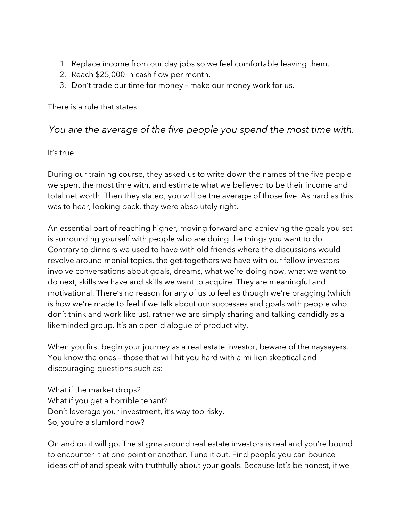- 1. Replace income from our day jobs so we feel comfortable leaving them.
- 2. Reach \$25,000 in cash flow per month.
- 3. Don't trade our time for money make our money work for us.

There is a rule that states:

### *You are the average of the five people you spend the most time with.*

It's true.

During our training course, they asked us to write down the names of the five people we spent the most time with, and estimate what we believed to be their income and total net worth. Then they stated, you will be the average of those five. As hard as this was to hear, looking back, they were absolutely right.

An essential part of reaching higher, moving forward and achieving the goals you set is surrounding yourself with people who are doing the things you want to do. Contrary to dinners we used to have with old friends where the discussions would revolve around menial topics, the get-togethers we have with our fellow investors involve conversations about goals, dreams, what we're doing now, what we want to do next, skills we have and skills we want to acquire. They are meaningful and motivational. There's no reason for any of us to feel as though we're bragging (which is how we're made to feel if we talk about our successes and goals with people who don't think and work like us), rather we are simply sharing and talking candidly as a likeminded group. It's an open dialogue of productivity.

When you first begin your journey as a real estate investor, beware of the naysayers. You know the ones – those that will hit you hard with a million skeptical and discouraging questions such as:

What if the market drops? What if you get a horrible tenant? Don't leverage your investment, it's way too risky. So, you're a slumlord now?

On and on it will go. The stigma around real estate investors is real and you're bound to encounter it at one point or another. Tune it out. Find people you can bounce ideas off of and speak with truthfully about your goals. Because let's be honest, if we